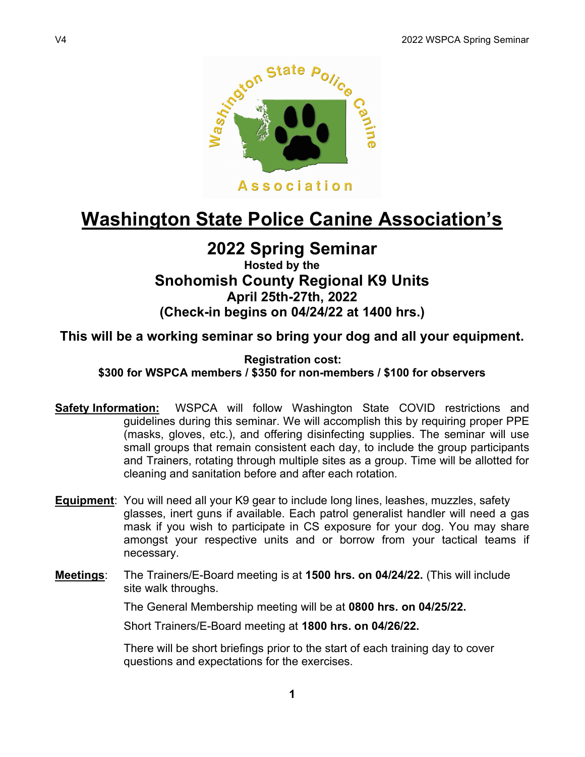

# Washington State Police Canine Association's

## 2022 Spring Seminar

### Hosted by the Snohomish County Regional K9 Units April 25th-27th, 2022 (Check-in begins on 04/24/22 at 1400 hrs.)

This will be a working seminar so bring your dog and all your equipment.

#### Registration cost:

\$300 for WSPCA members / \$350 for non-members / \$100 for observers

- Safety Information: WSPCA will follow Washington State COVID restrictions and guidelines during this seminar. We will accomplish this by requiring proper PPE (masks, gloves, etc.), and offering disinfecting supplies. The seminar will use small groups that remain consistent each day, to include the group participants and Trainers, rotating through multiple sites as a group. Time will be allotted for cleaning and sanitation before and after each rotation.
- Equipment: You will need all your K9 gear to include long lines, leashes, muzzles, safety glasses, inert guns if available. Each patrol generalist handler will need a gas mask if you wish to participate in CS exposure for your dog. You may share amongst your respective units and or borrow from your tactical teams if necessary.
- Meetings: The Trainers/E-Board meeting is at 1500 hrs. on 04/24/22. (This will include site walk throughs.

The General Membership meeting will be at 0800 hrs. on 04/25/22.

Short Trainers/E-Board meeting at 1800 hrs. on 04/26/22.

There will be short briefings prior to the start of each training day to cover questions and expectations for the exercises.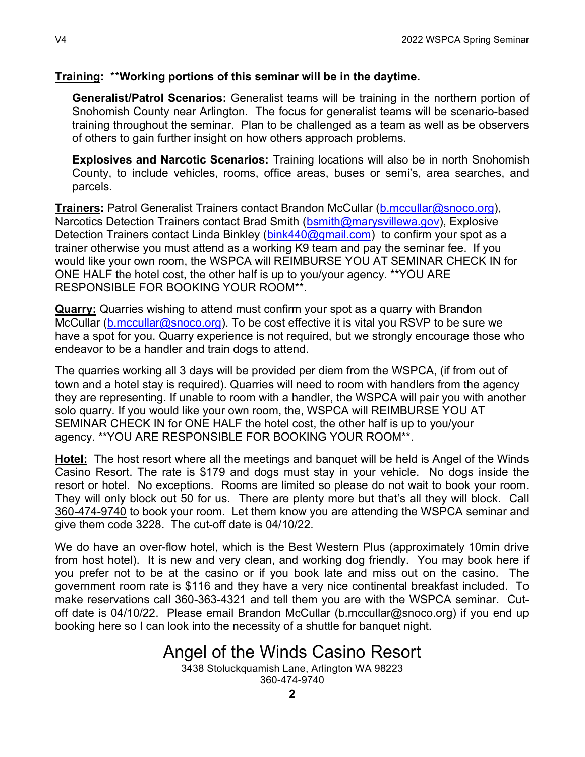#### Training: \*\*Working portions of this seminar will be in the daytime.

Generalist/Patrol Scenarios: Generalist teams will be training in the northern portion of Snohomish County near Arlington. The focus for generalist teams will be scenario-based training throughout the seminar. Plan to be challenged as a team as well as be observers of others to gain further insight on how others approach problems.

Explosives and Narcotic Scenarios: Training locations will also be in north Snohomish County, to include vehicles, rooms, office areas, buses or semi's, area searches, and parcels.

Trainers: Patrol Generalist Trainers contact Brandon McCullar (b.mccullar@snoco.org), Narcotics Detection Trainers contact Brad Smith (bsmith@marysvillewa.gov), Explosive Detection Trainers contact Linda Binkley (bink440@gmail.com) to confirm your spot as a trainer otherwise you must attend as a working K9 team and pay the seminar fee. If you would like your own room, the WSPCA will REIMBURSE YOU AT SEMINAR CHECK IN for ONE HALF the hotel cost, the other half is up to you/your agency. \*\*YOU ARE RESPONSIBLE FOR BOOKING YOUR ROOM\*\*.

Quarry: Quarries wishing to attend must confirm your spot as a quarry with Brandon McCullar (b.mccullar@snoco.org). To be cost effective it is vital you RSVP to be sure we have a spot for you. Quarry experience is not required, but we strongly encourage those who endeavor to be a handler and train dogs to attend.

The quarries working all 3 days will be provided per diem from the WSPCA, (if from out of town and a hotel stay is required). Quarries will need to room with handlers from the agency they are representing. If unable to room with a handler, the WSPCA will pair you with another solo quarry. If you would like your own room, the, WSPCA will REIMBURSE YOU AT SEMINAR CHECK IN for ONE HALF the hotel cost, the other half is up to you/your agency. \*\*YOU ARE RESPONSIBLE FOR BOOKING YOUR ROOM\*\*.

Hotel: The host resort where all the meetings and banquet will be held is Angel of the Winds Casino Resort. The rate is \$179 and dogs must stay in your vehicle. No dogs inside the resort or hotel. No exceptions. Rooms are limited so please do not wait to book your room. They will only block out 50 for us. There are plenty more but that's all they will block. Call 360-474-9740 to book your room. Let them know you are attending the WSPCA seminar and give them code 3228. The cut-off date is 04/10/22.

We do have an over-flow hotel, which is the Best Western Plus (approximately 10min drive from host hotel). It is new and very clean, and working dog friendly. You may book here if you prefer not to be at the casino or if you book late and miss out on the casino. The government room rate is \$116 and they have a very nice continental breakfast included. To make reservations call 360-363-4321 and tell them you are with the WSPCA seminar. Cutoff date is 04/10/22. Please email Brandon McCullar (b.mccullar@snoco.org) if you end up booking here so I can look into the necessity of a shuttle for banquet night.

# Angel of the Winds Casino Resort

3438 Stoluckquamish Lane, Arlington WA 98223 360-474-9740